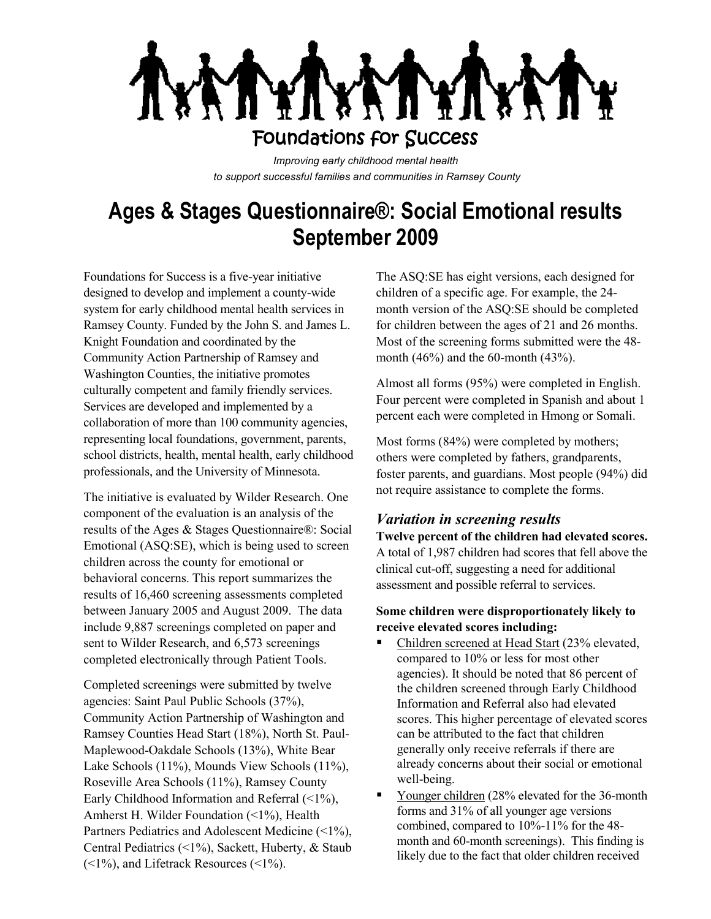

*Improving early childhood mental health to support successful families and communities in Ramsey County*

# **Ages & Stages Questionnaire®: Social Emotional results September 2009**

Foundations for Success is a five-year initiative designed to develop and implement a county-wide system for early childhood mental health services in Ramsey County. Funded by the John S. and James L. Knight Foundation and coordinated by the Community Action Partnership of Ramsey and Washington Counties, the initiative promotes culturally competent and family friendly services. Services are developed and implemented by a collaboration of more than 100 community agencies, representing local foundations, government, parents, school districts, health, mental health, early childhood professionals, and the University of Minnesota.

The initiative is evaluated by Wilder Research. One component of the evaluation is an analysis of the results of the Ages & Stages Questionnaire®: Social Emotional (ASQ:SE), which is being used to screen children across the county for emotional or behavioral concerns. This report summarizes the results of 16,460 screening assessments completed between January 2005 and August 2009. The data include 9,887 screenings completed on paper and sent to Wilder Research, and 6,573 screenings completed electronically through Patient Tools.

Completed screenings were submitted by twelve agencies: Saint Paul Public Schools (37%), Community Action Partnership of Washington and Ramsey Counties Head Start (18%), North St. Paul-Maplewood-Oakdale Schools (13%), White Bear Lake Schools (11%), Mounds View Schools (11%), Roseville Area Schools (11%), Ramsey County Early Childhood Information and Referral  $(\leq 1\%)$ , Amherst H. Wilder Foundation (<1%), Health Partners Pediatrics and Adolescent Medicine (<1%), Central Pediatrics (<1%), Sackett, Huberty, & Staub  $(\leq 1\%)$ , and Lifetrack Resources  $(\leq 1\%)$ .

The ASQ:SE has eight versions, each designed for children of a specific age. For example, the 24 month version of the ASQ:SE should be completed for children between the ages of 21 and 26 months. Most of the screening forms submitted were the 48 month (46%) and the 60-month (43%).

Almost all forms (95%) were completed in English. Four percent were completed in Spanish and about 1 percent each were completed in Hmong or Somali.

Most forms (84%) were completed by mothers; others were completed by fathers, grandparents, foster parents, and guardians. Most people (94%) did not require assistance to complete the forms.

# *Variation in screening results*

**Twelve percent of the children had elevated scores.**  A total of 1,987 children had scores that fell above the clinical cut-off, suggesting a need for additional assessment and possible referral to services.

### **Some children were disproportionately likely to receive elevated scores including:**

- Children screened at Head Start (23% elevated, compared to 10% or less for most other agencies). It should be noted that 86 percent of the children screened through Early Childhood Information and Referral also had elevated scores. This higher percentage of elevated scores can be attributed to the fact that children generally only receive referrals if there are already concerns about their social or emotional well-being.
- . Younger children (28% elevated for the 36-month forms and 31% of all younger age versions combined, compared to 10%-11% for the 48 month and 60-month screenings). This finding is likely due to the fact that older children received